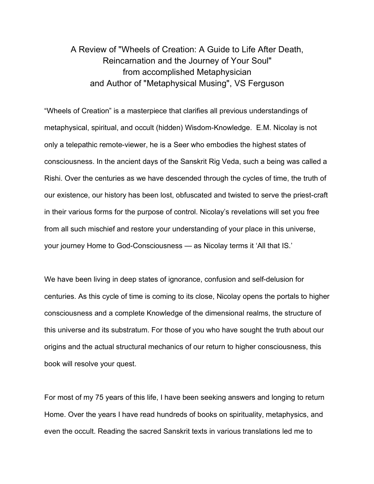## A Review of "Wheels of Creation: A Guide to Life After Death, Reincarnation and the Journey of Your Soul" from accomplished Metaphysician and Author of "Metaphysical Musing", VS Ferguson

"Wheels of Creation" is a masterpiece that clarifies all previous understandings of metaphysical, spiritual, and occult (hidden) Wisdom-Knowledge. E.M. Nicolay is not only a telepathic remote-viewer, he is a Seer who embodies the highest states of consciousness. In the ancient days of the Sanskrit Rig Veda, such a being was called a Rishi. Over the centuries as we have descended through the cycles of time, the truth of our existence, our history has been lost, obfuscated and twisted to serve the priest-craft in their various forms for the purpose of control. Nicolay's revelations will set you free from all such mischief and restore your understanding of your place in this universe, your journey Home to God-Consciousness — as Nicolay terms it 'All that IS.'

We have been living in deep states of ignorance, confusion and self-delusion for centuries. As this cycle of time is coming to its close, Nicolay opens the portals to higher consciousness and a complete Knowledge of the dimensional realms, the structure of this universe and its substratum. For those of you who have sought the truth about our origins and the actual structural mechanics of our return to higher consciousness, this book will resolve your quest.

For most of my 75 years of this life, I have been seeking answers and longing to return Home. Over the years I have read hundreds of books on spirituality, metaphysics, and even the occult. Reading the sacred Sanskrit texts in various translations led me to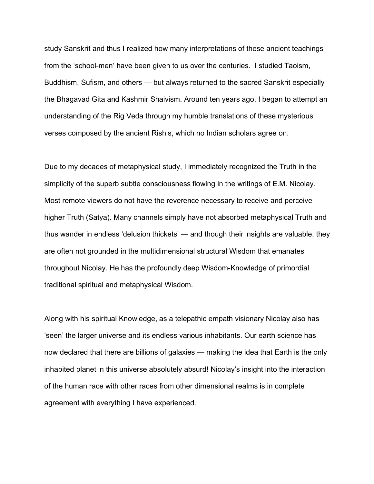study Sanskrit and thus I realized how many interpretations of these ancient teachings from the 'school-men' have been given to us over the centuries. I studied Taoism, Buddhism, Sufism, and others — but always returned to the sacred Sanskrit especially the Bhagavad Gita and Kashmir Shaivism. Around ten years ago, I began to attempt an understanding of the Rig Veda through my humble translations of these mysterious verses composed by the ancient Rishis, which no Indian scholars agree on.

Due to my decades of metaphysical study, I immediately recognized the Truth in the simplicity of the superb subtle consciousness flowing in the writings of E.M. Nicolay. Most remote viewers do not have the reverence necessary to receive and perceive higher Truth (Satya). Many channels simply have not absorbed metaphysical Truth and thus wander in endless 'delusion thickets' — and though their insights are valuable, they are often not grounded in the multidimensional structural Wisdom that emanates throughout Nicolay. He has the profoundly deep Wisdom-Knowledge of primordial traditional spiritual and metaphysical Wisdom.

Along with his spiritual Knowledge, as a telepathic empath visionary Nicolay also has 'seen' the larger universe and its endless various inhabitants. Our earth science has now declared that there are billions of galaxies — making the idea that Earth is the only inhabited planet in this universe absolutely absurd! Nicolay's insight into the interaction of the human race with other races from other dimensional realms is in complete agreement with everything I have experienced.